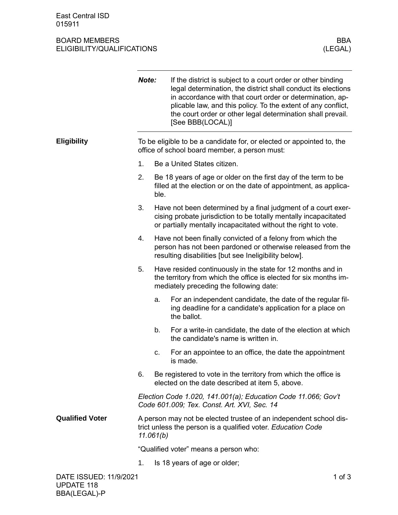## BOARD MEMBERS BOARD MEMBERS BOARD MEMBERS (LEGAL) ELIGIBILITY/QUALIFICATIONS

|                        | Note:                                                                                                                                          |                                                                                                                                                                                    | If the district is subject to a court order or other binding<br>legal determination, the district shall conduct its elections<br>in accordance with that court order or determination, ap-<br>plicable law, and this policy. To the extent of any conflict,<br>the court order or other legal determination shall prevail.<br>[See BBB(LOCAL)] |  |
|------------------------|------------------------------------------------------------------------------------------------------------------------------------------------|------------------------------------------------------------------------------------------------------------------------------------------------------------------------------------|------------------------------------------------------------------------------------------------------------------------------------------------------------------------------------------------------------------------------------------------------------------------------------------------------------------------------------------------|--|
| <b>Eligibility</b>     | To be eligible to be a candidate for, or elected or appointed to, the<br>office of school board member, a person must:                         |                                                                                                                                                                                    |                                                                                                                                                                                                                                                                                                                                                |  |
|                        | 1.                                                                                                                                             |                                                                                                                                                                                    | Be a United States citizen.                                                                                                                                                                                                                                                                                                                    |  |
|                        | 2.                                                                                                                                             | ble.                                                                                                                                                                               | Be 18 years of age or older on the first day of the term to be<br>filled at the election or on the date of appointment, as applica-                                                                                                                                                                                                            |  |
|                        | 3.                                                                                                                                             |                                                                                                                                                                                    | Have not been determined by a final judgment of a court exer-<br>cising probate jurisdiction to be totally mentally incapacitated<br>or partially mentally incapacitated without the right to vote.                                                                                                                                            |  |
|                        | 4.                                                                                                                                             | Have not been finally convicted of a felony from which the<br>person has not been pardoned or otherwise released from the<br>resulting disabilities [but see Ineligibility below]. |                                                                                                                                                                                                                                                                                                                                                |  |
|                        | 5.                                                                                                                                             |                                                                                                                                                                                    | Have resided continuously in the state for 12 months and in<br>the territory from which the office is elected for six months im-<br>mediately preceding the following date:                                                                                                                                                                    |  |
|                        |                                                                                                                                                | a.                                                                                                                                                                                 | For an independent candidate, the date of the regular fil-<br>ing deadline for a candidate's application for a place on<br>the ballot.                                                                                                                                                                                                         |  |
|                        |                                                                                                                                                | b.                                                                                                                                                                                 | For a write-in candidate, the date of the election at which<br>the candidate's name is written in.                                                                                                                                                                                                                                             |  |
|                        |                                                                                                                                                | c.                                                                                                                                                                                 | For an appointee to an office, the date the appointment<br>is made.                                                                                                                                                                                                                                                                            |  |
|                        | 6.                                                                                                                                             |                                                                                                                                                                                    | Be registered to vote in the territory from which the office is<br>elected on the date described at item 5, above.                                                                                                                                                                                                                             |  |
|                        | Election Code 1.020, 141.001(a); Education Code 11.066; Gov't<br>Code 601.009; Tex. Const. Art. XVI, Sec. 14                                   |                                                                                                                                                                                    |                                                                                                                                                                                                                                                                                                                                                |  |
| <b>Qualified Voter</b> | A person may not be elected trustee of an independent school dis-<br>trict unless the person is a qualified voter. Education Code<br>11.061(b) |                                                                                                                                                                                    |                                                                                                                                                                                                                                                                                                                                                |  |
|                        | "Qualified voter" means a person who:                                                                                                          |                                                                                                                                                                                    |                                                                                                                                                                                                                                                                                                                                                |  |
|                        | 1.                                                                                                                                             |                                                                                                                                                                                    | Is 18 years of age or older;                                                                                                                                                                                                                                                                                                                   |  |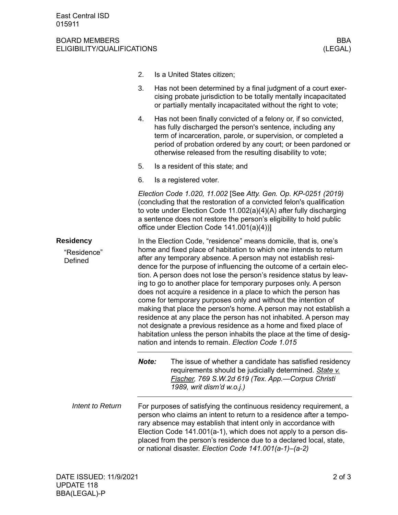## BOARD MEMBERS BBA ELIGIBILITY/QUALIFICATIONS (LEGAL)

- 2. Is a United States citizen;
- 3. Has not been determined by a final judgment of a court exercising probate jurisdiction to be totally mentally incapacitated or partially mentally incapacitated without the right to vote;
- 4. Has not been finally convicted of a felony or, if so convicted, has fully discharged the person's sentence, including any term of incarceration, parole, or supervision, or completed a period of probation ordered by any court; or been pardoned or otherwise released from the resulting disability to vote;
- 5. Is a resident of this state; and
- 6. Is a registered voter.

*Election Code 1.020, 11.002* [See *Atty. Gen. Op. KP-0251 (2019)* (concluding that the restoration of a convicted felon's qualification to vote under Election Code 11.002(a)(4)(A) after fully discharging a sentence does not restore the person's eligibility to hold public office under Election Code 141.001(a)(4))]

In the Election Code, "residence" means domicile, that is, one's home and fixed place of habitation to which one intends to return after any temporary absence. A person may not establish residence for the purpose of influencing the outcome of a certain election. A person does not lose the person's residence status by leaving to go to another place for temporary purposes only. A person does not acquire a residence in a place to which the person has come for temporary purposes only and without the intention of making that place the person's home. A person may not establish a residence at any place the person has not inhabited. A person may not designate a previous residence as a home and fixed place of habitation unless the person inhabits the place at the time of designation and intends to remain. *Election Code 1.015* **Residency** "Residence" Defined

> *Note:* The issue of whether a candidate has satisfied residency requirements should be judicially determined. *State v. Fischer, 769 S.W.2d 619 (Tex. App.—Corpus Christi 1989, writ dism'd w.o.j.)*

For purposes of satisfying the continuous residency requirement, a person who claims an intent to return to a residence after a temporary absence may establish that intent only in accordance with Election Code 141.001(a-1), which does not apply to a person displaced from the person's residence due to a declared local, state, or national disaster. *Election Code 141.001(a-1)–(a-2) Intent to Return*